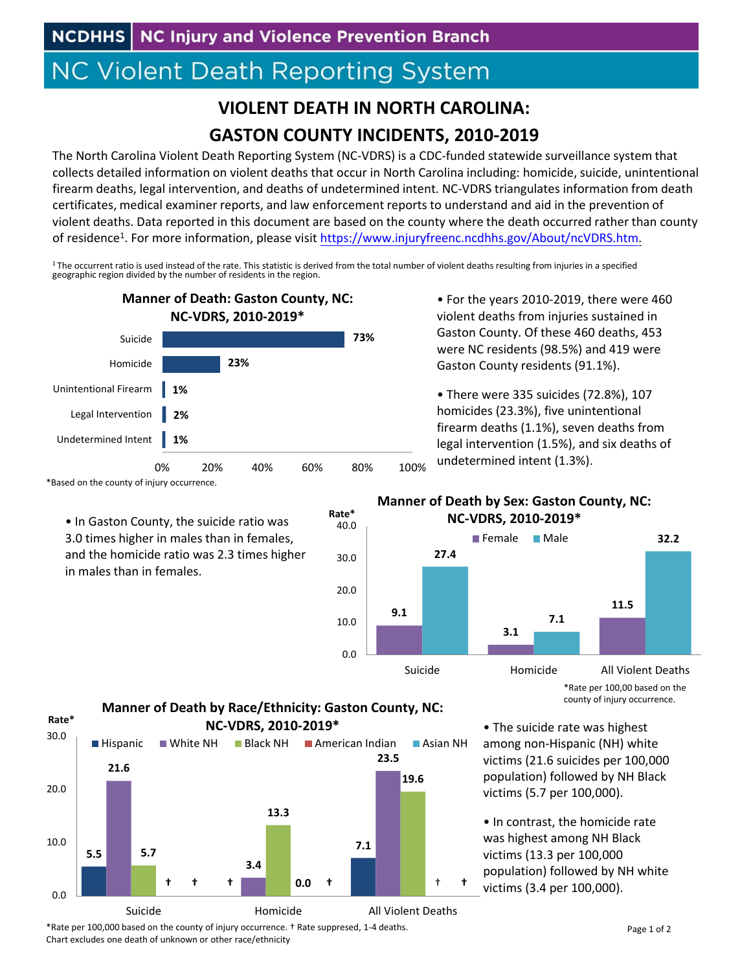## **NC Violent Death Reporting System**

## **VIOLENT DEATH IN NORTH CAROLINA: GASTON COUNTY INCIDENTS, 2010‐2019**

The North Carolina Violent Death Reporting System (NC‐VDRS) is a CDC‐funded statewide surveillance system that collects detailed information on violent deaths that occur in North Carolina including: homicide, suicide, unintentional firearm deaths, legal intervention, and deaths of undetermined intent. NC‐VDRS triangulates information from death certificates, medical examiner reports, and law enforcement reports to understand and aid in the prevention of violent deaths. Data reported in this document are based on the county where the death occurred rather than county of residence<sup>1</sup>. For more information, please visit https://www.injuryfreenc.ncdhhs.gov/About/ncVDRS.htm.

 $1$ The occurrent ratio is used instead of the rate. This statistic is derived from the total number of violent deaths resulting from injuries in a specified geographic region divided by the number of residents in the region.

**Rate\***



\*Based on the county of injury occurrence.

• In Gaston County, the suicide ratio was 3.0 times higher in males than in females, and the homicide ratio was 2.3 times higher in males than in females.

• For the years 2010‐2019, there were 460 violent deaths from injuries sustained in Gaston County. Of these 460 deaths, 453 were NC residents (98.5%) and 419 were Gaston County residents (91.1%).

• There were 335 suicides (72.8%), 107 homicides (23.3%), five unintentional firearm deaths (1.1%), seven deaths from legal intervention (1.5%), and six deaths of undetermined intent (1.3%).

## **Manner of Death by Sex: Gaston County, NC: NC‐VDRS, 2010‐2019\***



\*Rate per 100,00 based on the county of injury occurrence.

**5.5 † 7.1 21.6 3.4 23.5 5.7 13.3 19.6 † 0 ††† .0** † 0.0 10.0 20.0 30.0 Suicide Homicide All Violent Deaths **Rate\***  $\blacksquare$  Hispanic  $\blacksquare$  White NH  $\blacksquare$  Black NH  $\blacksquare$  American Indian  $\blacksquare$  Asian NH **Manner of Death by Race/Ethnicity: Gaston County, NC: NC‐VDRS, 2010‐2019\***

• The suicide rate was highest among non‐Hispanic (NH) white victims (21.6 suicides per 100,000 population) followed by NH Black victims (5.7 per 100,000).

• In contrast, the homicide rate was highest among NH Black victims (13.3 per 100,000 population) followed by NH white victims (3.4 per 100,000).

\*Rate per 100,000 based on the county of injury occurrence. † Rate suppresed, 1‐4 deaths. Chart excludes one death of unknown or other race/ethnicity